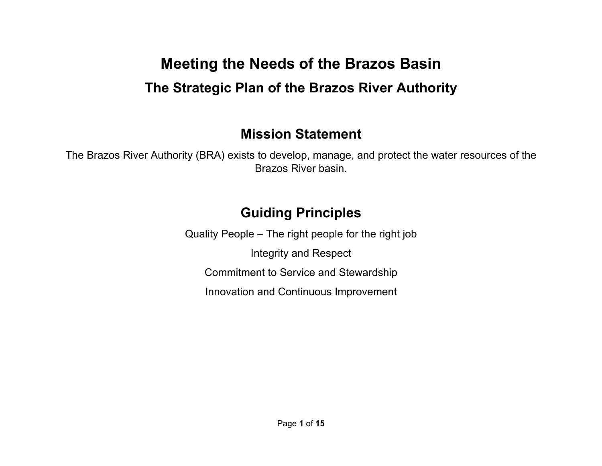# **Meeting the Needs of the Brazos Basin The Strategic Plan of the Brazos River Authority**

### **Mission Statement**

The Brazos River Authority (BRA) exists to develop, manage, and protect the water resources of the Brazos River basin.

## **Guiding Principles**

Quality People – The right people for the right job Integrity and Respect Commitment to Service and Stewardship Innovation and Continuous Improvement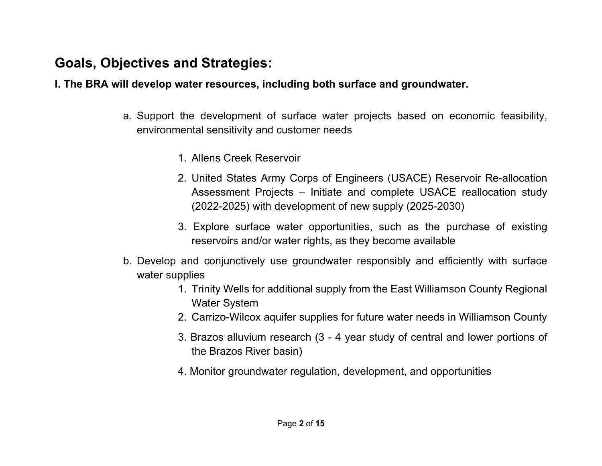### **Goals, Objectives and Strategies:**

**I. The BRA will develop water resources, including both surface and groundwater.**

- a. Support the development of surface water projects based on economic feasibility, environmental sensitivity and customer needs
	- 1. Allens Creek Reservoir
	- 2. United States Army Corps of Engineers (USACE) Reservoir Re-allocation Assessment Projects – Initiate and complete USACE reallocation study (2022-2025) with development of new supply (2025-2030)
	- 3. Explore surface water opportunities, such as the purchase of existing reservoirs and/or water rights, as they become available
- b. Develop and conjunctively use groundwater responsibly and efficiently with surface water supplies
	- 1. Trinity Wells for additional supply from the East Williamson County Regional Water System
	- 2. Carrizo-Wilcox aquifer supplies for future water needs in Williamson County
	- 3. Brazos alluvium research (3 4 year study of central and lower portions of the Brazos River basin)
	- 4. Monitor groundwater regulation, development, and opportunities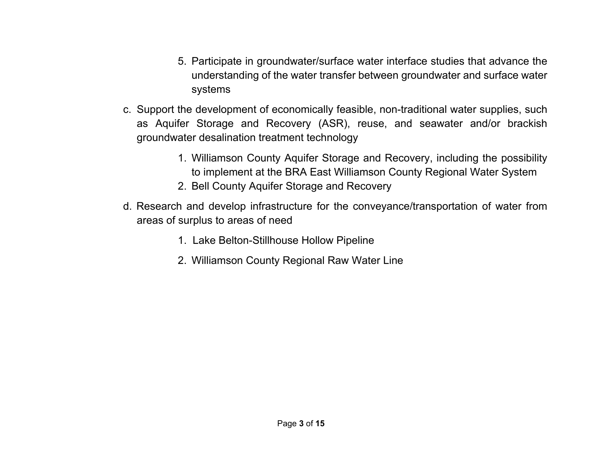- 5. Participate in groundwater/surface water interface studies that advance the understanding of the water transfer between groundwater and surface water systems
- c. Support the development of economically feasible, non-traditional water supplies, such as Aquifer Storage and Recovery (ASR), reuse, and seawater and/or brackish groundwater desalination treatment technology
	- 1. Williamson County Aquifer Storage and Recovery, including the possibility to implement at the BRA East Williamson County Regional Water System
	- 2. Bell County Aquifer Storage and Recovery
- d. Research and develop infrastructure for the conveyance/transportation of water from areas of surplus to areas of need
	- 1. Lake Belton-Stillhouse Hollow Pipeline
	- 2. Williamson County Regional Raw Water Line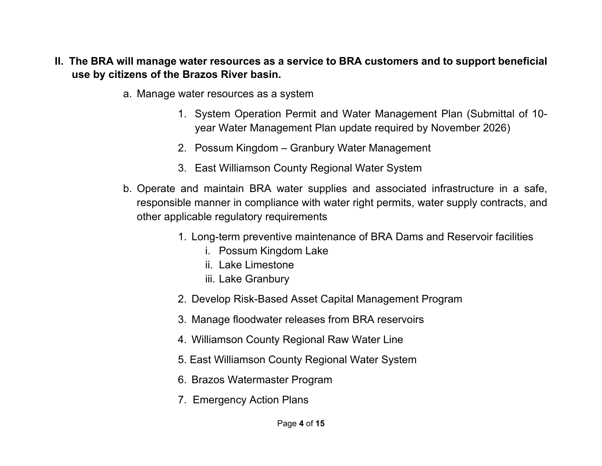- **II. The BRA will manage water resources as a service to BRA customers and to support beneficial use by citizens of the Brazos River basin.**
	- a. Manage water resources as a system
		- 1. System Operation Permit and Water Management Plan (Submittal of 10 year Water Management Plan update required by November 2026)
		- 2. Possum Kingdom Granbury Water Management
		- 3. East Williamson County Regional Water System
	- b. Operate and maintain BRA water supplies and associated infrastructure in a safe, responsible manner in compliance with water right permits, water supply contracts, and other applicable regulatory requirements
		- 1. Long-term preventive maintenance of BRA Dams and Reservoir facilities
			- i. Possum Kingdom Lake
			- ii. Lake Limestone
			- iii. Lake Granbury
		- 2. Develop Risk-Based Asset Capital Management Program
		- 3. Manage floodwater releases from BRA reservoirs
		- 4. Williamson County Regional Raw Water Line
		- 5. East Williamson County Regional Water System
		- 6. Brazos Watermaster Program
		- 7. Emergency Action Plans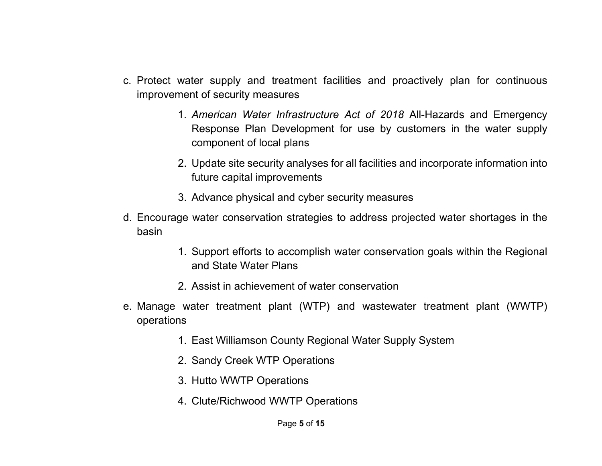- c. Protect water supply and treatment facilities and proactively plan for continuous improvement of security measures
	- 1. *American Water Infrastructure Act of 2018* All-Hazards and Emergency Response Plan Development for use by customers in the water supply component of local plans
	- 2. Update site security analyses for all facilities and incorporate information into future capital improvements
	- 3. Advance physical and cyber security measures
- d. Encourage water conservation strategies to address projected water shortages in the basin
	- 1. Support efforts to accomplish water conservation goals within the Regional and State Water Plans
	- 2. Assist in achievement of water conservation
- e. Manage water treatment plant (WTP) and wastewater treatment plant (WWTP) operations
	- 1. East Williamson County Regional Water Supply System
	- 2. Sandy Creek WTP Operations
	- 3. Hutto WWTP Operations
	- 4. Clute/Richwood WWTP Operations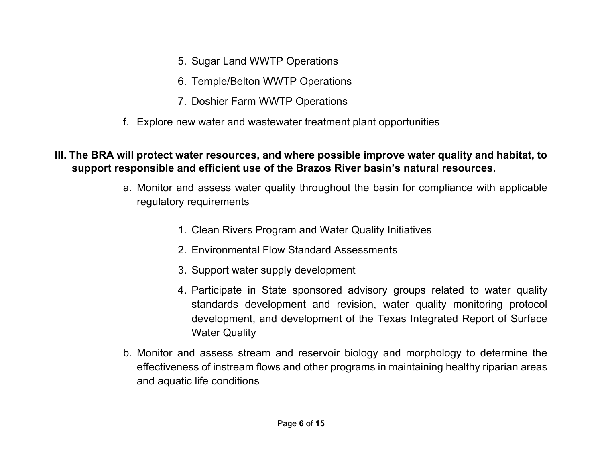- 5. Sugar Land WWTP Operations
- 6. Temple/Belton WWTP Operations
- 7. Doshier Farm WWTP Operations
- f. Explore new water and wastewater treatment plant opportunities

#### **III. The BRA will protect water resources, and where possible improve water quality and habitat, to support responsible and efficient use of the Brazos River basin's natural resources.**

- a. Monitor and assess water quality throughout the basin for compliance with applicable regulatory requirements
	- 1. Clean Rivers Program and Water Quality Initiatives
	- 2. Environmental Flow Standard Assessments
	- 3. Support water supply development
	- 4. Participate in State sponsored advisory groups related to water quality standards development and revision, water quality monitoring protocol development, and development of the Texas Integrated Report of Surface Water Quality
- b. Monitor and assess stream and reservoir biology and morphology to determine the effectiveness of instream flows and other programs in maintaining healthy riparian areas and aquatic life conditions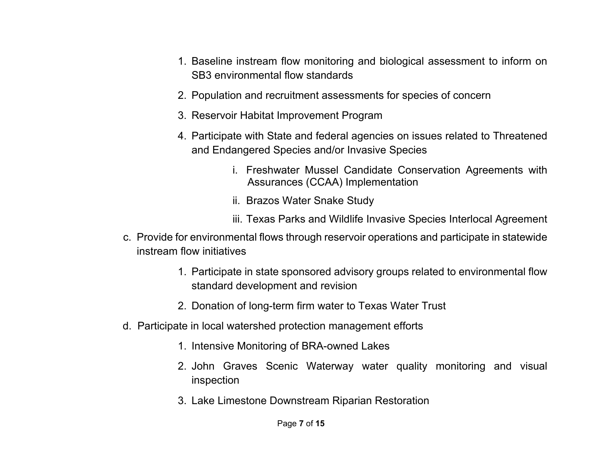- 1. Baseline instream flow monitoring and biological assessment to inform on SB3 environmental flow standards
- 2. Population and recruitment assessments for species of concern
- 3. Reservoir Habitat Improvement Program
- 4. Participate with State and federal agencies on issues related to Threatened and Endangered Species and/or Invasive Species
	- i. Freshwater Mussel Candidate Conservation Agreements with Assurances (CCAA) Implementation
	- ii. Brazos Water Snake Study
	- iii. Texas Parks and Wildlife Invasive Species Interlocal Agreement
- c. Provide for environmental flows through reservoir operations and participate in statewide instream flow initiatives
	- 1. Participate in state sponsored advisory groups related to environmental flow standard development and revision
	- 2. Donation of long-term firm water to Texas Water Trust
- d. Participate in local watershed protection management efforts
	- 1. Intensive Monitoring of BRA-owned Lakes
	- 2. John Graves Scenic Waterway water quality monitoring and visual inspection
	- 3. Lake Limestone Downstream Riparian Restoration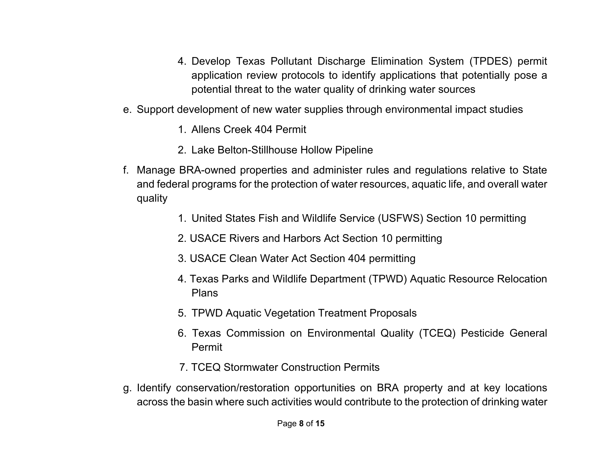- 4. Develop Texas Pollutant Discharge Elimination System (TPDES) permit application review protocols to identify applications that potentially pose a potential threat to the water quality of drinking water sources
- e. Support development of new water supplies through environmental impact studies
	- 1. Allens Creek 404 Permit
	- 2. Lake Belton-Stillhouse Hollow Pipeline
- f. Manage BRA-owned properties and administer rules and regulations relative to State and federal programs for the protection of water resources, aquatic life, and overall water quality
	- 1. United States Fish and Wildlife Service (USFWS) Section 10 permitting
	- 2. USACE Rivers and Harbors Act Section 10 permitting
	- 3. USACE Clean Water Act Section 404 permitting
	- 4. Texas Parks and Wildlife Department (TPWD) Aquatic Resource Relocation Plans
	- 5. TPWD Aquatic Vegetation Treatment Proposals
	- 6. Texas Commission on Environmental Quality (TCEQ) Pesticide General Permit
	- 7. TCEQ Stormwater Construction Permits
- g. Identify conservation/restoration opportunities on BRA property and at key locations across the basin where such activities would contribute to the protection of drinking water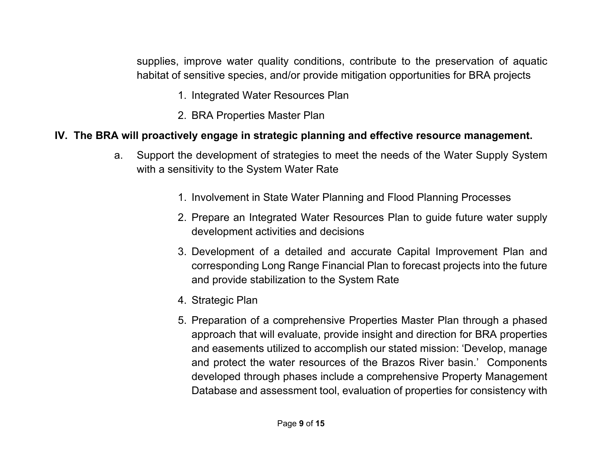supplies, improve water quality conditions, contribute to the preservation of aquatic habitat of sensitive species, and/or provide mitigation opportunities for BRA projects

- 1. Integrated Water Resources Plan
- 2. BRA Properties Master Plan

### **IV. The BRA will proactively engage in strategic planning and effective resource management.**

- a. Support the development of strategies to meet the needs of the Water Supply System with a sensitivity to the System Water Rate
	- 1. Involvement in State Water Planning and Flood Planning Processes
	- 2. Prepare an Integrated Water Resources Plan to guide future water supply development activities and decisions
	- 3. Development of a detailed and accurate Capital Improvement Plan and corresponding Long Range Financial Plan to forecast projects into the future and provide stabilization to the System Rate
	- 4. Strategic Plan
	- 5. Preparation of a comprehensive Properties Master Plan through a phased approach that will evaluate, provide insight and direction for BRA properties and easements utilized to accomplish our stated mission: 'Develop, manage and protect the water resources of the Brazos River basin.' Components developed through phases include a comprehensive Property Management Database and assessment tool, evaluation of properties for consistency with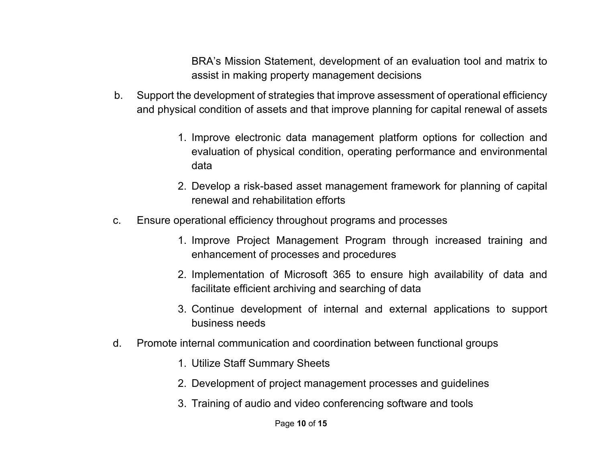BRA's Mission Statement, development of an evaluation tool and matrix to assist in making property management decisions

- b. Support the development of strategies that improve assessment of operational efficiency and physical condition of assets and that improve planning for capital renewal of assets
	- 1. Improve electronic data management platform options for collection and evaluation of physical condition, operating performance and environmental data
	- 2. Develop a risk-based asset management framework for planning of capital renewal and rehabilitation efforts
- c. Ensure operational efficiency throughout programs and processes
	- 1. Improve Project Management Program through increased training and enhancement of processes and procedures
	- 2. Implementation of Microsoft 365 to ensure high availability of data and facilitate efficient archiving and searching of data
	- 3. Continue development of internal and external applications to support business needs
- d. Promote internal communication and coordination between functional groups
	- 1. Utilize Staff Summary Sheets
	- 2. Development of project management processes and guidelines
	- 3. Training of audio and video conferencing software and tools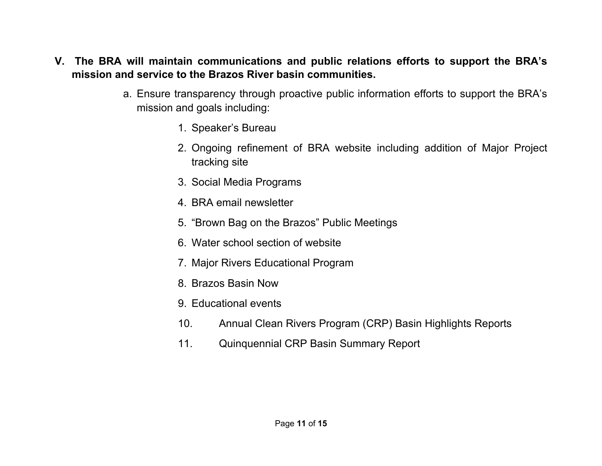- **V. The BRA will maintain communications and public relations efforts to support the BRA's mission and service to the Brazos River basin communities.**
	- a. Ensure transparency through proactive public information efforts to support the BRA's mission and goals including:
		- 1. Speaker's Bureau
		- 2. Ongoing refinement of BRA website including addition of Major Project tracking site
		- 3. Social Media Programs
		- 4. BRA email newsletter
		- 5. "Brown Bag on the Brazos" Public Meetings
		- 6. Water school section of website
		- 7. Major Rivers Educational Program
		- 8. Brazos Basin Now
		- 9. Educational events
		- 10. Annual Clean Rivers Program (CRP) Basin Highlights Reports
		- 11. Quinquennial CRP Basin Summary Report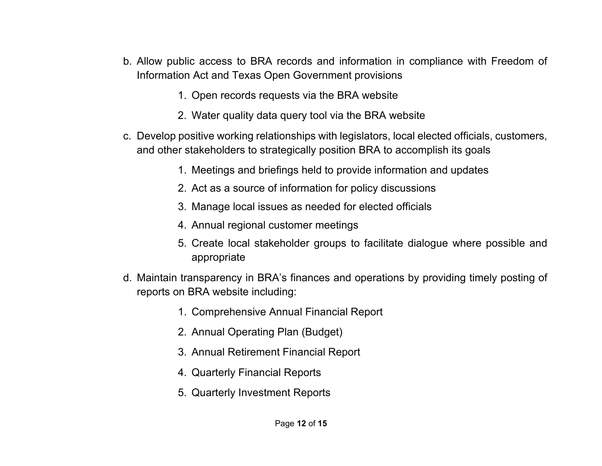- b. Allow public access to BRA records and information in compliance with Freedom of Information Act and Texas Open Government provisions
	- 1. Open records requests via the BRA website
	- 2. Water quality data query tool via the BRA website
- c. Develop positive working relationships with legislators, local elected officials, customers, and other stakeholders to strategically position BRA to accomplish its goals
	- 1. Meetings and briefings held to provide information and updates
	- 2. Act as a source of information for policy discussions
	- 3. Manage local issues as needed for elected officials
	- 4. Annual regional customer meetings
	- 5. Create local stakeholder groups to facilitate dialogue where possible and appropriate
- d. Maintain transparency in BRA's finances and operations by providing timely posting of reports on BRA website including:
	- 1. Comprehensive Annual Financial Report
	- 2. Annual Operating Plan (Budget)
	- 3. Annual Retirement Financial Report
	- 4. Quarterly Financial Reports
	- 5. Quarterly Investment Reports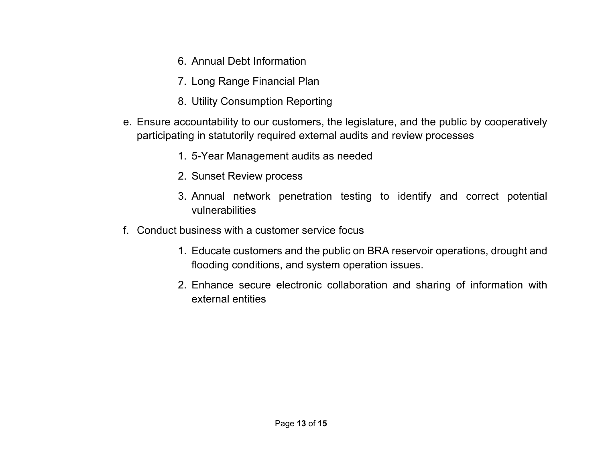- 6. Annual Debt Information
- 7. Long Range Financial Plan
- 8. Utility Consumption Reporting
- e. Ensure accountability to our customers, the legislature, and the public by cooperatively participating in statutorily required external audits and review processes
	- 1. 5-Year Management audits as needed
	- 2. Sunset Review process
	- 3. Annual network penetration testing to identify and correct potential vulnerabilities
- f. Conduct business with a customer service focus
	- 1. Educate customers and the public on BRA reservoir operations, drought and flooding conditions, and system operation issues.
	- 2. Enhance secure electronic collaboration and sharing of information with external entities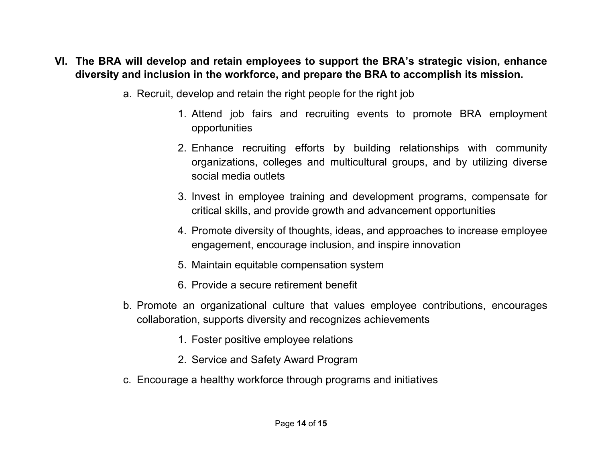#### **VI. The BRA will develop and retain employees to support the BRA's strategic vision, enhance diversity and inclusion in the workforce, and prepare the BRA to accomplish its mission.**

- a. Recruit, develop and retain the right people for the right job
	- 1. Attend job fairs and recruiting events to promote BRA employment opportunities
	- 2. Enhance recruiting efforts by building relationships with community organizations, colleges and multicultural groups, and by utilizing diverse social media outlets
	- 3. Invest in employee training and development programs, compensate for critical skills, and provide growth and advancement opportunities
	- 4. Promote diversity of thoughts, ideas, and approaches to increase employee engagement, encourage inclusion, and inspire innovation
	- 5. Maintain equitable compensation system
	- 6. Provide a secure retirement benefit
- b. Promote an organizational culture that values employee contributions, encourages collaboration, supports diversity and recognizes achievements
	- 1. Foster positive employee relations
	- 2. Service and Safety Award Program
- c. Encourage a healthy workforce through programs and initiatives